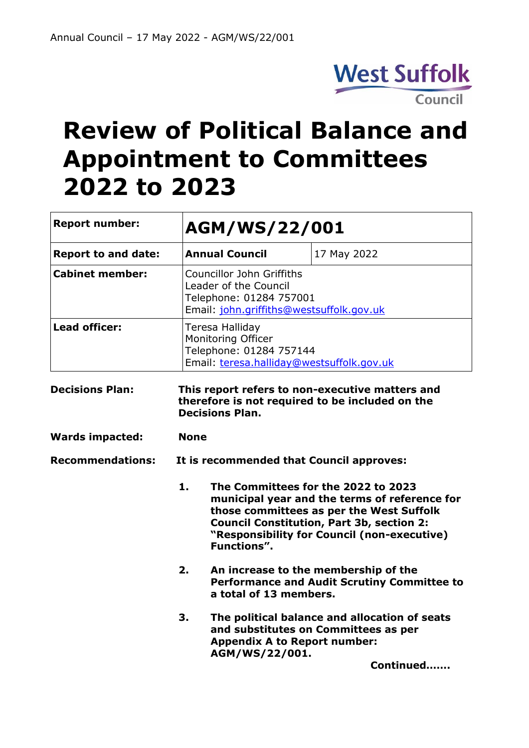

# **Review of Political Balance and Appointment to Committees 2022 to 2023**

| <b>Report number:</b>      |                                                                                                                              | AGM/WS/22/001                                                                                                                                                                                                                                      |             |  |
|----------------------------|------------------------------------------------------------------------------------------------------------------------------|----------------------------------------------------------------------------------------------------------------------------------------------------------------------------------------------------------------------------------------------------|-------------|--|
| <b>Report to and date:</b> |                                                                                                                              | <b>Annual Council</b>                                                                                                                                                                                                                              | 17 May 2022 |  |
| <b>Cabinet member:</b>     |                                                                                                                              | <b>Councillor John Griffiths</b><br>Leader of the Council<br>Telephone: 01284 757001<br>Email: john.griffiths@westsuffolk.gov.uk                                                                                                                   |             |  |
| <b>Lead officer:</b>       |                                                                                                                              | Teresa Halliday<br>Monitoring Officer<br>Telephone: 01284 757144<br>Email: teresa.halliday@westsuffolk.gov.uk                                                                                                                                      |             |  |
| <b>Decisions Plan:</b>     | This report refers to non-executive matters and<br>therefore is not required to be included on the<br><b>Decisions Plan.</b> |                                                                                                                                                                                                                                                    |             |  |
| <b>Wards impacted:</b>     | <b>None</b>                                                                                                                  |                                                                                                                                                                                                                                                    |             |  |
| <b>Recommendations:</b>    | It is recommended that Council approves:                                                                                     |                                                                                                                                                                                                                                                    |             |  |
|                            | 1.                                                                                                                           | The Committees for the 2022 to 2023<br>municipal year and the terms of reference for<br>those committees as per the West Suffolk<br><b>Council Constitution, Part 3b, section 2:</b><br>"Responsibility for Council (non-executive)<br>Functions". |             |  |
|                            | 2.                                                                                                                           | An increase to the membership of the<br><b>Performance and Audit Scrutiny Committee to</b><br>a total of 13 members.                                                                                                                               |             |  |
|                            | 3.                                                                                                                           | The political balance and allocation of seats<br>and substitutes on Committees as per<br><b>Appendix A to Report number:</b><br>AGM/WS/22/001.                                                                                                     |             |  |
|                            |                                                                                                                              |                                                                                                                                                                                                                                                    | Continued   |  |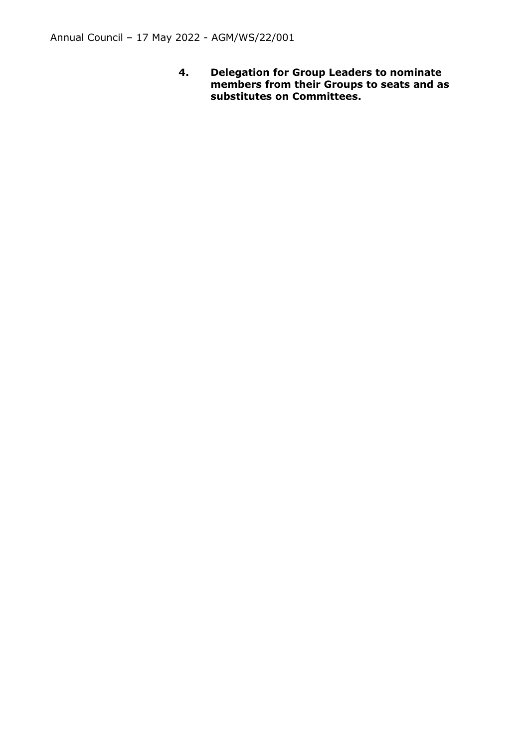**4. Delegation for Group Leaders to nominate members from their Groups to seats and as substitutes on Committees.**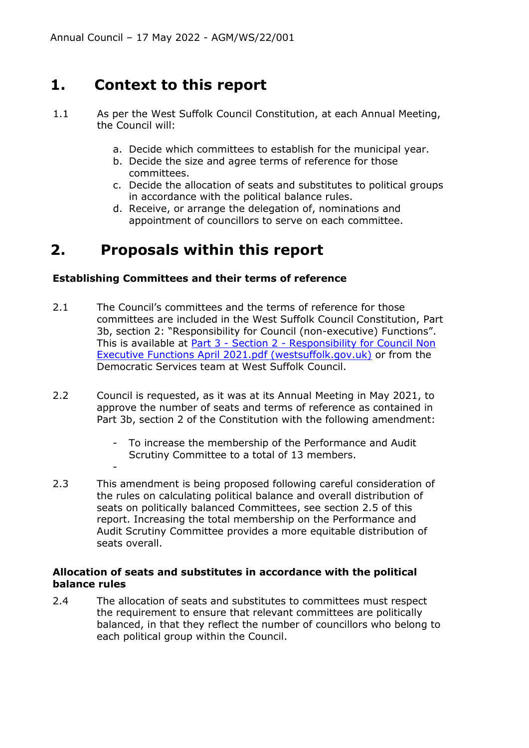# **1. Context to this report**

- 1.1 As per the West Suffolk Council Constitution, at each Annual Meeting, the Council will:
	- a. Decide which committees to establish for the municipal year.
	- b. Decide the size and agree terms of reference for those committees.
	- c. Decide the allocation of seats and substitutes to political groups in accordance with the political balance rules.
	- d. Receive, or arrange the delegation of, nominations and appointment of councillors to serve on each committee.

# **2. Proposals within this report**

-

#### **Establishing Committees and their terms of reference**

- 2.1 The Council's committees and the terms of reference for those committees are included in the West Suffolk Council Constitution, Part 3b, section 2: "Responsibility for Council (non-executive) Functions". This is available at **Part 3 - Section 2 - Responsibility for Council Non** [Executive Functions April 2021.pdf \(westsuffolk.gov.uk\)](https://democracy.westsuffolk.gov.uk/documents/s40423/Part%203%20-%20Section%202%20-%20Responsibility%20for%20Council%20Non%20Executive%20Functions%20April%202021.pdf) or from the Democratic Services team at West Suffolk Council.
- 2.2 Council is requested, as it was at its Annual Meeting in May 2021, to approve the number of seats and terms of reference as contained in Part 3b, section 2 of the Constitution with the following amendment:
	- To increase the membership of the Performance and Audit Scrutiny Committee to a total of 13 members.
- 2.3 This amendment is being proposed following careful consideration of the rules on calculating political balance and overall distribution of seats on politically balanced Committees, see section 2.5 of this report. Increasing the total membership on the Performance and Audit Scrutiny Committee provides a more equitable distribution of seats overall.

#### **Allocation of seats and substitutes in accordance with the political balance rules**

2.4 The allocation of seats and substitutes to committees must respect the requirement to ensure that relevant committees are politically balanced, in that they reflect the number of councillors who belong to each political group within the Council.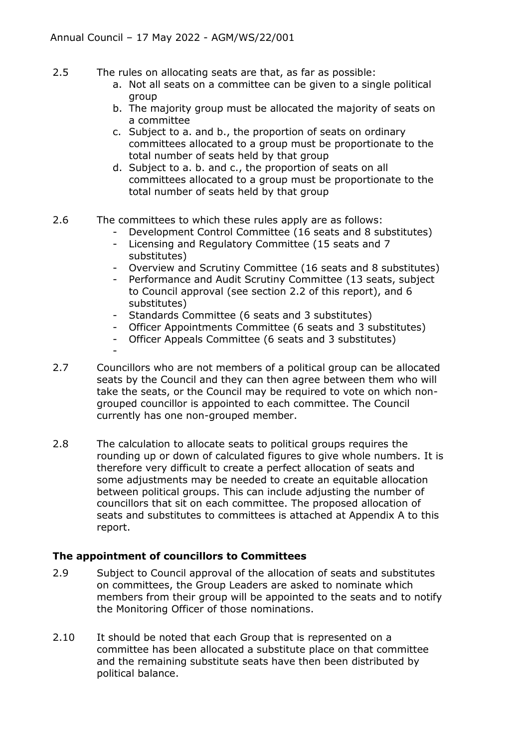- 2.5 The rules on allocating seats are that, as far as possible:
	- a. Not all seats on a committee can be given to a single political group
	- b. The majority group must be allocated the majority of seats on a committee
	- c. Subject to a. and b., the proportion of seats on ordinary committees allocated to a group must be proportionate to the total number of seats held by that group
	- d. Subject to a. b. and c., the proportion of seats on all committees allocated to a group must be proportionate to the total number of seats held by that group

#### 2.6 The committees to which these rules apply are as follows:

- Development Control Committee (16 seats and 8 substitutes)
- Licensing and Regulatory Committee (15 seats and 7 substitutes)
- Overview and Scrutiny Committee (16 seats and 8 substitutes)
- Performance and Audit Scrutiny Committee (13 seats, subject to Council approval (see section 2.2 of this report), and 6 substitutes)
- Standards Committee (6 seats and 3 substitutes)
- Officer Appointments Committee (6 seats and 3 substitutes)
- Officer Appeals Committee (6 seats and 3 substitutes)
- 2.7 Councillors who are not members of a political group can be allocated seats by the Council and they can then agree between them who will take the seats, or the Council may be required to vote on which nongrouped councillor is appointed to each committee. The Council currently has one non-grouped member.
- 2.8 The calculation to allocate seats to political groups requires the rounding up or down of calculated figures to give whole numbers. It is therefore very difficult to create a perfect allocation of seats and some adjustments may be needed to create an equitable allocation between political groups. This can include adjusting the number of councillors that sit on each committee. The proposed allocation of seats and substitutes to committees is attached at Appendix A to this report.

### **The appointment of councillors to Committees**

-

- 2.9 Subject to Council approval of the allocation of seats and substitutes on committees, the Group Leaders are asked to nominate which members from their group will be appointed to the seats and to notify the Monitoring Officer of those nominations.
- 2.10 It should be noted that each Group that is represented on a committee has been allocated a substitute place on that committee and the remaining substitute seats have then been distributed by political balance.